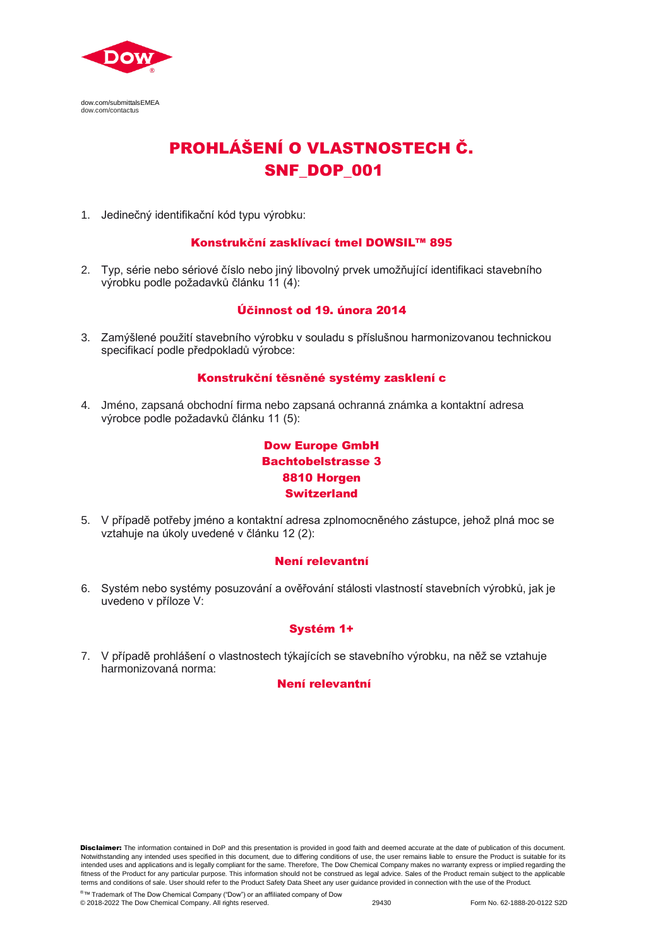

dow.com/submittalsEMEA dow.com/contactus

# PROHLÁŠENÍ O VLASTNOSTECH Č. SNF\_DOP\_001

1. Jedinečný identifikační kód typu výrobku:

## Konstrukční zasklívací tmel DOWSIL™ 895

2. Typ, série nebo sériové číslo nebo jiný libovolný prvek umožňující identifikaci stavebního výrobku podle požadavků článku 11 (4):

## Účinnost od 19. února 2014

3. Zamýšlené použití stavebního výrobku v souladu s příslušnou harmonizovanou technickou specifikací podle předpokladů výrobce:

## Konstrukční těsněné systémy zasklení c

4. Jméno, zapsaná obchodní firma nebo zapsaná ochranná známka a kontaktní adresa výrobce podle požadavků článku 11 (5):

## Dow Europe GmbH Bachtobelstrasse 3 8810 Horgen Switzerland

5. V případě potřeby jméno a kontaktní adresa zplnomocněného zástupce, jehož plná moc se vztahuje na úkoly uvedené v článku 12 (2):

## Není relevantní

6. Systém nebo systémy posuzování a ověřování stálosti vlastností stavebních výrobků, jak je uvedeno v příloze V:

## Systém 1+

7. V případě prohlášení o vlastnostech týkajících se stavebního výrobku, na něž se vztahuje harmonizovaná norma:

## Není relevantní

Disclaimer: The information contained in DoP and this presentation is provided in good faith and deemed accurate at the date of publication of this document. Notwithstanding any intended uses specified in this document, due to differing conditions of use, the user remains liable to ensure the Product is suitable for its intended uses and applications and is legally compliant for the same. Therefore, The Dow Chemical Company makes no warranty express or implied regarding the fitness of the Product for any particular purpose. This information should not be construed as legal advice. Sales of the Product remain subject to the applicable<br>terms and conditions of sale. User should refer to the Prod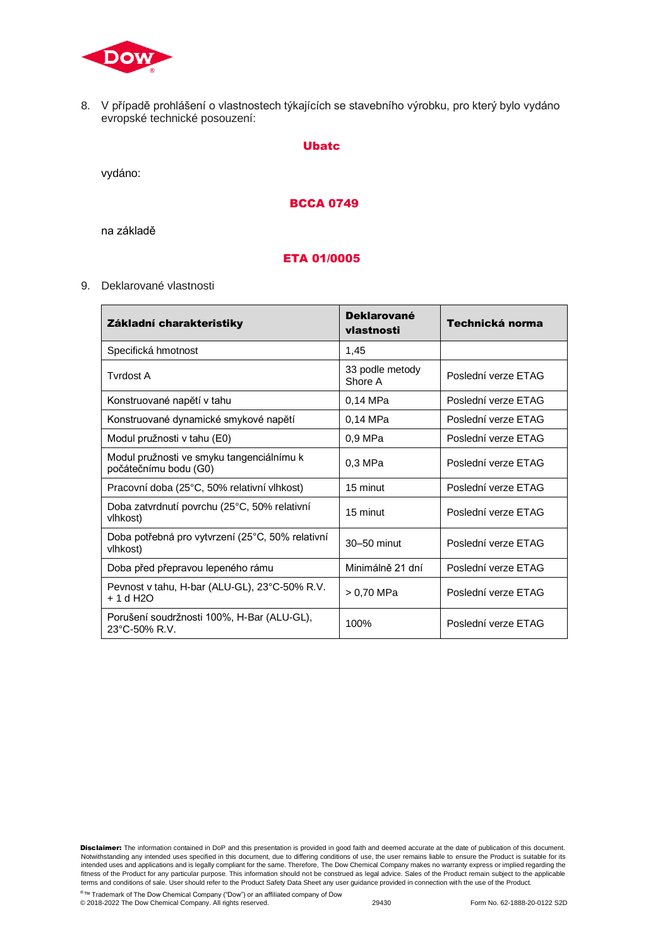

8. V případě prohlášení o vlastnostech týkajících se stavebního výrobku, pro který bylo vydáno evropské technické posouzení:

#### Ubatc

vydáno:

## BCCA 0749

na základě

## ETA 01/0005

9. Deklarované vlastnosti

| Základní charakteristiky                                              | <b>Deklarované</b><br>vlastnosti | Technická norma     |
|-----------------------------------------------------------------------|----------------------------------|---------------------|
| Specifická hmotnost                                                   | 1,45                             |                     |
| <b>Tyrdost A</b>                                                      | 33 podle metody<br>Shore A       | Poslední verze ETAG |
| Konstruované napětí v tahu                                            | 0,14 MPa                         | Poslední verze ETAG |
| Konstruované dynamické smykové napětí                                 | 0.14 MPa                         | Poslední verze ETAG |
| Modul pružnosti v tahu (E0)                                           | 0.9 MPa                          | Poslední verze ETAG |
| Modul pružnosti ve smyku tangenciálnímu k<br>počátečnímu bodu (G0)    | 0.3 MPa                          | Poslední verze ETAG |
| Pracovní doba (25°C, 50% relativní vlhkost)                           | 15 minut                         | Poslední verze ETAG |
| Doba zatvrdnutí povrchu (25°C, 50% relativní<br>vlhkost)              | 15 minut                         | Poslední verze ETAG |
| Doba potřebná pro vytvrzení (25°C, 50% relativní<br>vlhkost)          | 30-50 minut                      | Poslední verze ETAG |
| Doba před přepravou lepeného rámu                                     | Minimálně 21 dní                 | Poslední verze ETAG |
| Pevnost v tahu, H-bar (ALU-GL), 23°C-50% R.V.<br>+ 1 d H2O            | > 0.70 MPa                       | Poslední verze ETAG |
| Porušení soudržnosti 100%, H-Bar (ALU-GL),<br>$23^{\circ}$ C-50% R.V. | 100%                             | Poslední verze ETAG |

Disclaimer: The information contained in DoP and this presentation is provided in good faith and deemed accurate at the date of publication of this document. Notwithstanding any intended uses specified in this document, due to differing conditions of use, the user remains liable to ensure the Product is suitable for its intended uses and applications and is legally compliant for the same. Therefore, The Dow Chemical Company makes no warranty express or implied regarding the<br>fitness of the Product for any particular purpose. This informati

© 2018-2022 The Dow Chemical Company. All rights reserved. 29430 Form No. 62-1888-20-0122 S2D